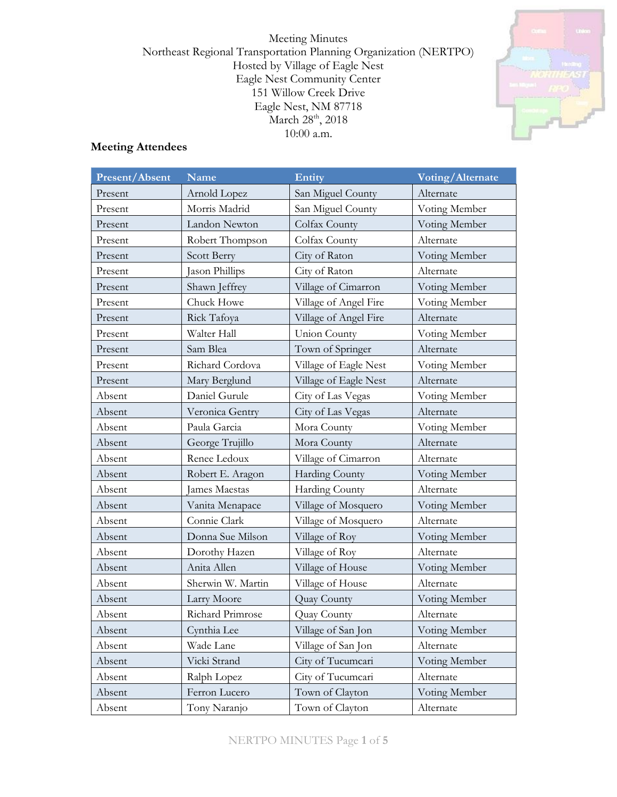Meeting Minutes Northeast Regional Transportation Planning Organization (NERTPO) Hosted by Village of Eagle Nest Eagle Nest Community Center 151 Willow Creek Drive Eagle Nest, NM 87718 March 28<sup>th</sup>, 2018 10:00 a.m.



## **Meeting Attendees**

| <b>Present/Absent</b> | <b>Name</b>       | Entity                | <b>Voting/Alternate</b> |
|-----------------------|-------------------|-----------------------|-------------------------|
| Present               | Arnold Lopez      | San Miguel County     | Alternate               |
| Present               | Morris Madrid     | San Miguel County     | Voting Member           |
| Present               | Landon Newton     | Colfax County         | Voting Member           |
| Present               | Robert Thompson   | Colfax County         | Alternate               |
| Present               | Scott Berry       | City of Raton         | Voting Member           |
| Present               | Jason Phillips    | City of Raton         | Alternate               |
| Present               | Shawn Jeffrey     | Village of Cimarron   | Voting Member           |
| Present               | Chuck Howe        | Village of Angel Fire | Voting Member           |
| Present               | Rick Tafoya       | Village of Angel Fire | Alternate               |
| Present               | Walter Hall       | Union County          | Voting Member           |
| Present               | Sam Blea          | Town of Springer      | Alternate               |
| Present               | Richard Cordova   | Village of Eagle Nest | Voting Member           |
| Present               | Mary Berglund     | Village of Eagle Nest | Alternate               |
| Absent                | Daniel Gurule     | City of Las Vegas     | Voting Member           |
| Absent                | Veronica Gentry   | City of Las Vegas     | Alternate               |
| Absent                | Paula Garcia      | Mora County           | Voting Member           |
| Absent                | George Trujillo   | Mora County           | Alternate               |
| Absent                | Renee Ledoux      | Village of Cimarron   | Alternate               |
| Absent                | Robert E. Aragon  | <b>Harding County</b> | Voting Member           |
| Absent                | James Maestas     | Harding County        | Alternate               |
| Absent                | Vanita Menapace   | Village of Mosquero   | Voting Member           |
| Absent                | Connie Clark      | Village of Mosquero   | Alternate               |
| Absent                | Donna Sue Milson  | Village of Roy        | Voting Member           |
| Absent                | Dorothy Hazen     | Village of Roy        | Alternate               |
| Absent                | Anita Allen       | Village of House      | Voting Member           |
| Absent                | Sherwin W. Martin | Village of House      | Alternate               |
| Absent                | Larry Moore       | Quay County           | Voting Member           |
| Absent                | Richard Primrose  | Quay County           | Alternate               |
| Absent                | Cynthia Lee       | Village of San Jon    | Voting Member           |
| Absent                | Wade Lane         | Village of San Jon    | Alternate               |
| Absent                | Vicki Strand      | City of Tucumcari     | Voting Member           |
| Absent                | Ralph Lopez       | City of Tucumcari     | Alternate               |
| Absent                | Ferron Lucero     | Town of Clayton       | Voting Member           |
| Absent                | Tony Naranjo      | Town of Clayton       | Alternate               |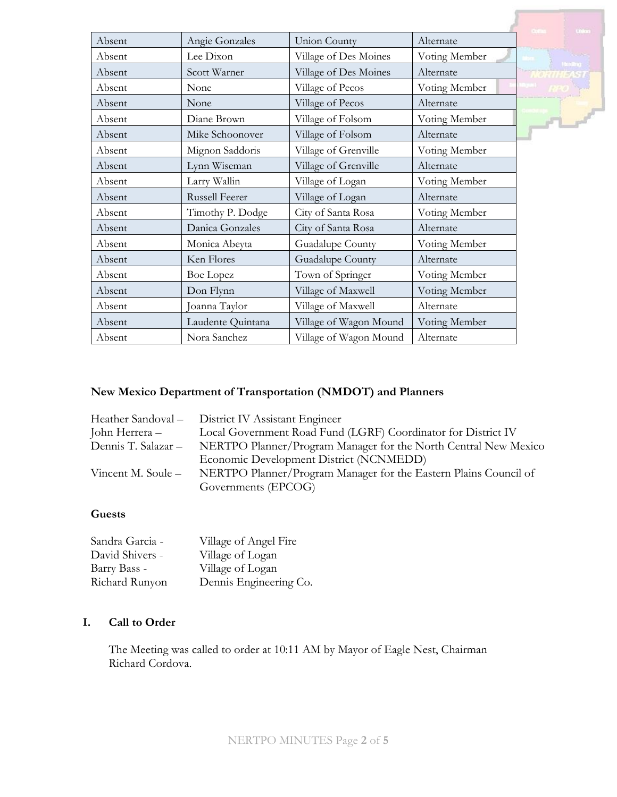|        |                   |                        |               | <b>United</b>  |
|--------|-------------------|------------------------|---------------|----------------|
| Absent | Angie Gonzales    | <b>Union County</b>    | Alternate     |                |
| Absent | Lee Dixon         | Village of Des Moines  | Voting Member | <b>Fording</b> |
| Absent | Scott Warner      | Village of Des Moines  | Alternate     |                |
| Absent | None              | Village of Pecos       | Voting Member |                |
| Absent | None              | Village of Pecos       | Alternate     |                |
| Absent | Diane Brown       | Village of Folsom      | Voting Member | $\sqrt{1-x^2}$ |
| Absent | Mike Schoonover   | Village of Folsom      | Alternate     |                |
| Absent | Mignon Saddoris   | Village of Grenville   | Voting Member |                |
| Absent | Lynn Wiseman      | Village of Grenville   | Alternate     |                |
| Absent | Larry Wallin      | Village of Logan       | Voting Member |                |
| Absent | Russell Feerer    | Village of Logan       | Alternate     |                |
| Absent | Timothy P. Dodge  | City of Santa Rosa     | Voting Member |                |
| Absent | Danica Gonzales   | City of Santa Rosa     | Alternate     |                |
| Absent | Monica Abeyta     | Guadalupe County       | Voting Member |                |
| Absent | Ken Flores        | Guadalupe County       | Alternate     |                |
| Absent | Boe Lopez         | Town of Springer       | Voting Member |                |
| Absent | Don Flynn         | Village of Maxwell     | Voting Member |                |
| Absent | Joanna Taylor     | Village of Maxwell     | Alternate     |                |
| Absent | Laudente Quintana | Village of Wagon Mound | Voting Member |                |
| Absent | Nora Sanchez      | Village of Wagon Mound | Alternate     |                |

## **New Mexico Department of Transportation (NMDOT) and Planners**

| Heather Sandoval - District IV Assistant Engineer                |
|------------------------------------------------------------------|
| Local Government Road Fund (LGRF) Coordinator for District IV    |
| NERTPO Planner/Program Manager for the North Central New Mexico  |
| Economic Development District (NCNMEDD)                          |
| NERTPO Planner/Program Manager for the Eastern Plains Council of |
| Governments (EPCOG)                                              |
|                                                                  |

### **Guests**

| Sandra Garcia - | Village of Angel Fire  |
|-----------------|------------------------|
| David Shivers - | Village of Logan       |
| Barry Bass -    | Village of Logan       |
| Richard Runyon  | Dennis Engineering Co. |

# **I. Call to Order**

The Meeting was called to order at 10:11 AM by Mayor of Eagle Nest, Chairman Richard Cordova.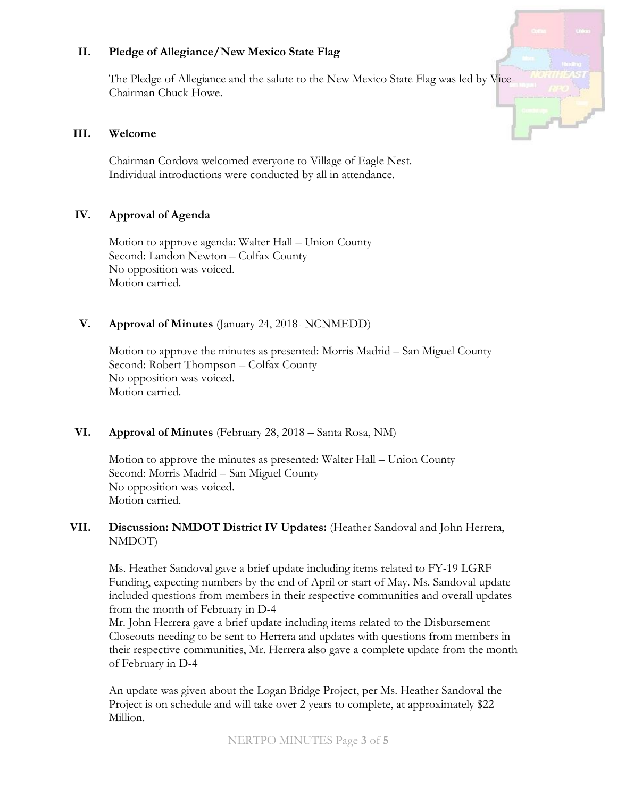### **II. Pledge of Allegiance/New Mexico State Flag**

The Pledge of Allegiance and the salute to the New Mexico State Flag was led by Vice-Chairman Chuck Howe.

#### **III. Welcome**

Chairman Cordova welcomed everyone to Village of Eagle Nest. Individual introductions were conducted by all in attendance.

#### **IV. Approval of Agenda**

Motion to approve agenda: Walter Hall – Union County Second: Landon Newton – Colfax County No opposition was voiced. Motion carried.

### **V. Approval of Minutes** (January 24, 2018- NCNMEDD)

Motion to approve the minutes as presented: Morris Madrid – San Miguel County Second: Robert Thompson – Colfax County No opposition was voiced. Motion carried.

#### **VI. Approval of Minutes** (February 28, 2018 – Santa Rosa, NM)

Motion to approve the minutes as presented: Walter Hall – Union County Second: Morris Madrid – San Miguel County No opposition was voiced. Motion carried.

#### **VII. Discussion: NMDOT District IV Updates:** (Heather Sandoval and John Herrera, NMDOT)

Ms. Heather Sandoval gave a brief update including items related to FY-19 LGRF Funding, expecting numbers by the end of April or start of May. Ms. Sandoval update included questions from members in their respective communities and overall updates from the month of February in D-4

Mr. John Herrera gave a brief update including items related to the Disbursement Closeouts needing to be sent to Herrera and updates with questions from members in their respective communities, Mr. Herrera also gave a complete update from the month of February in D-4

An update was given about the Logan Bridge Project, per Ms. Heather Sandoval the Project is on schedule and will take over 2 years to complete, at approximately \$22 Million.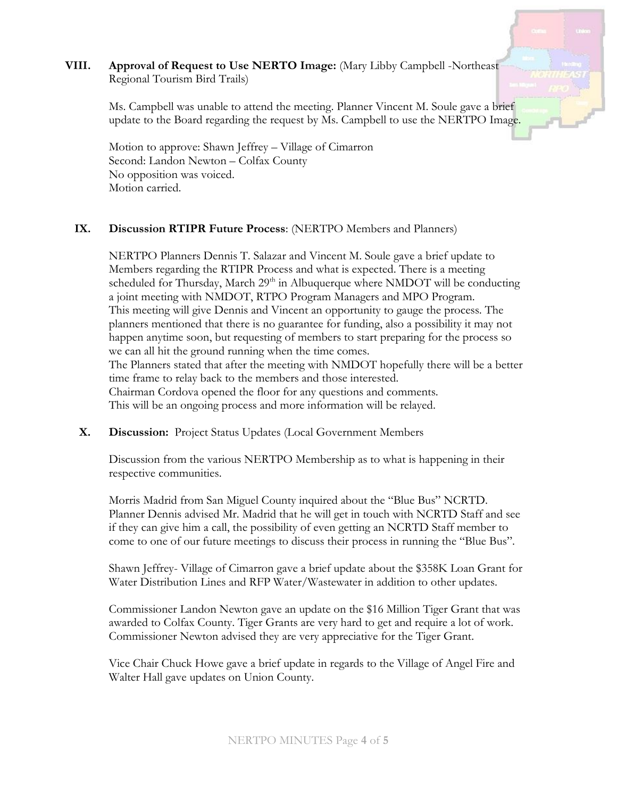### **VIII. Approval of Request to Use NERTO Image:** (Mary Libby Campbell -Northeast Regional Tourism Bird Trails)

Ms. Campbell was unable to attend the meeting. Planner Vincent M. Soule gave a brief update to the Board regarding the request by Ms. Campbell to use the NERTPO Image.

Motion to approve: Shawn Jeffrey – Village of Cimarron Second: Landon Newton – Colfax County No opposition was voiced. Motion carried.

#### **IX. Discussion RTIPR Future Process**: (NERTPO Members and Planners)

NERTPO Planners Dennis T. Salazar and Vincent M. Soule gave a brief update to Members regarding the RTIPR Process and what is expected. There is a meeting scheduled for Thursday, March  $29<sup>th</sup>$  in Albuquerque where NMDOT will be conducting a joint meeting with NMDOT, RTPO Program Managers and MPO Program. This meeting will give Dennis and Vincent an opportunity to gauge the process. The planners mentioned that there is no guarantee for funding, also a possibility it may not happen anytime soon, but requesting of members to start preparing for the process so we can all hit the ground running when the time comes. The Planners stated that after the meeting with NMDOT hopefully there will be a better time frame to relay back to the members and those interested. Chairman Cordova opened the floor for any questions and comments. This will be an ongoing process and more information will be relayed.

#### **X. Discussion:** Project Status Updates (Local Government Members

Discussion from the various NERTPO Membership as to what is happening in their respective communities.

Morris Madrid from San Miguel County inquired about the "Blue Bus" NCRTD. Planner Dennis advised Mr. Madrid that he will get in touch with NCRTD Staff and see if they can give him a call, the possibility of even getting an NCRTD Staff member to come to one of our future meetings to discuss their process in running the "Blue Bus".

Shawn Jeffrey- Village of Cimarron gave a brief update about the \$358K Loan Grant for Water Distribution Lines and RFP Water/Wastewater in addition to other updates.

Commissioner Landon Newton gave an update on the \$16 Million Tiger Grant that was awarded to Colfax County. Tiger Grants are very hard to get and require a lot of work. Commissioner Newton advised they are very appreciative for the Tiger Grant.

Vice Chair Chuck Howe gave a brief update in regards to the Village of Angel Fire and Walter Hall gave updates on Union County.